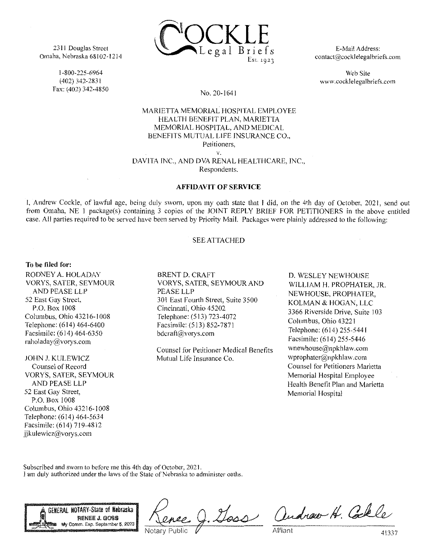

2311 Douglas Street Omaha, Nebraska 68102-1214

> I-800-225-6964 (402) 342-2831 Fax: (402) 342-4850

E-Mail Address: contact@cocklelegalbriefs.com

Web Site www.cocklelegalbriefs.com

# No. 20-1641

# MARIETTA MEMORIAL HOSPITAL EMPLOYEE HEALTH BENEFIT PLAN, MARIETTA MEMORIAL HOSPITAL, AND MEDICAL BENEFITS MUTUAL LIFE INSURANCE CO., Petitioners. v.

DAVITA INC.. AND DVA RENAL HEALTHCARE. INC., Respondents.

#### AFFIDAVIT OF SERVICE

I, Andrew Cockle, of lawful age, being duly sworn, upon my oath state that I did, on the 4th day of October, 2021, send out from Omaha, NE 1 package(s) containing 3 copies of the JOINT REPLY BRIEF FOR PETITIONERS in the above entitled case. All parties required to be served have been served by Priority Mail. Packages were plainly addressed to the following:

### SEE ATTACHED

## To be filed for:

RODNEY A. HOLADAY VORYS, SATER, SEYMOUR AND PEASE LLP 52 East Gay Street, P.O. Box 1008 Columbus, Ohio 43216-1008 Telephone: (614) 464-6400 Facsimile: (614) 464-6350 raholaday@vorys.com

JOHN J. KULEWICZ Counsel of Record VORYS, SATER, SEYMOUR AND PEASE LLP 52 East Gay Street, P.O. Box 1008 Columbus, Ohio 43216-1008 Telephone: (614) 464-5634 Facsimile: (614) 719-4812 jjkulewicz@vorys.eom

BRENT D. CRAFT VORYS, SATER, SEYMOUR AND PEASE LLP 301 East Fourth Street, Suite 3500 Cincinnati, Ohio 45202 Telephone: (513) 723-4072 Facsimile: (513) 852-7871 bdcraft@vorys.com

Counsel for Petitioner Medical Benefits Mutual Life Insurance Co.

D. WESLEY NEWHOUSE WILLIAM H. PROPHATER, JR. NEWHOUSE, PROPHATER, KOLMAN & HOGAN, LLC 3366 Riverside Drive. Suite 103 Columbus. Ohio 43221 Telephone: (614) 255-5441 Facsimile: (614) 255-5446 wnewhouse@npkhlaw.com wprophater@npkhlaw.com Counsel for Petitioners Marietta Memorial Hospital Employee Health Benefit Plan and Marietta Memorial Hospital

Subscribed and sworn to before me this 4th day of October, 2021. 1 am duly authorized under the laws of the State of Nebraska to administer oaths.



Notary Public

Goss Andrew H. Colle